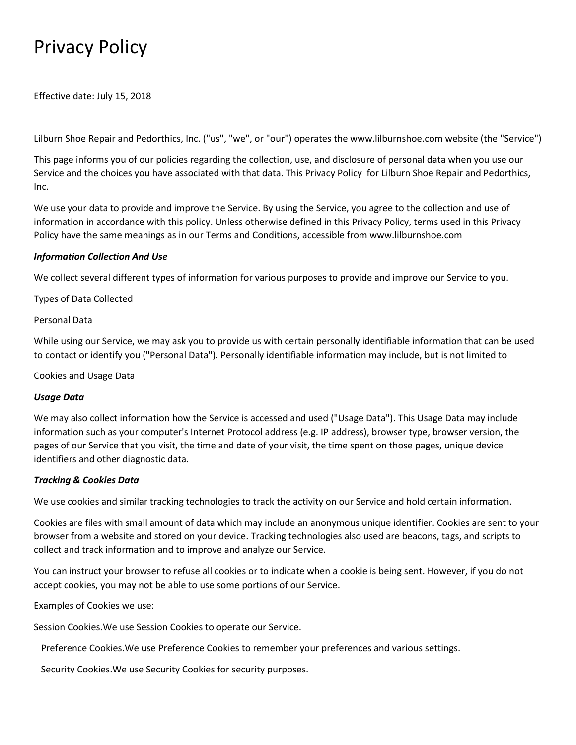# Privacy Policy

Effective date: July 15, 2018

Lilburn Shoe Repair and Pedorthics, Inc. ("us", "we", or "our") operates the www.lilburnshoe.com website (the "Service")

This page informs you of our policies regarding the collection, use, and disclosure of personal data when you use our Service and the choices you have associated with that data. This Privacy Policy for Lilburn Shoe Repair and Pedorthics, Inc.

We use your data to provide and improve the Service. By using the Service, you agree to the collection and use of information in accordance with this policy. Unless otherwise defined in this Privacy Policy, terms used in this Privacy Policy have the same meanings as in our Terms and Conditions, accessible from www.lilburnshoe.com

## *Information Collection And Use*

We collect several different types of information for various purposes to provide and improve our Service to you.

Types of Data Collected

Personal Data

While using our Service, we may ask you to provide us with certain personally identifiable information that can be used to contact or identify you ("Personal Data"). Personally identifiable information may include, but is not limited to

Cookies and Usage Data

### *Usage Data*

We may also collect information how the Service is accessed and used ("Usage Data"). This Usage Data may include information such as your computer's Internet Protocol address (e.g. IP address), browser type, browser version, the pages of our Service that you visit, the time and date of your visit, the time spent on those pages, unique device identifiers and other diagnostic data.

### *Tracking & Cookies Data*

We use cookies and similar tracking technologies to track the activity on our Service and hold certain information.

Cookies are files with small amount of data which may include an anonymous unique identifier. Cookies are sent to your browser from a website and stored on your device. Tracking technologies also used are beacons, tags, and scripts to collect and track information and to improve and analyze our Service.

You can instruct your browser to refuse all cookies or to indicate when a cookie is being sent. However, if you do not accept cookies, you may not be able to use some portions of our Service.

Examples of Cookies we use:

Session Cookies.We use Session Cookies to operate our Service.

Preference Cookies.We use Preference Cookies to remember your preferences and various settings.

Security Cookies.We use Security Cookies for security purposes.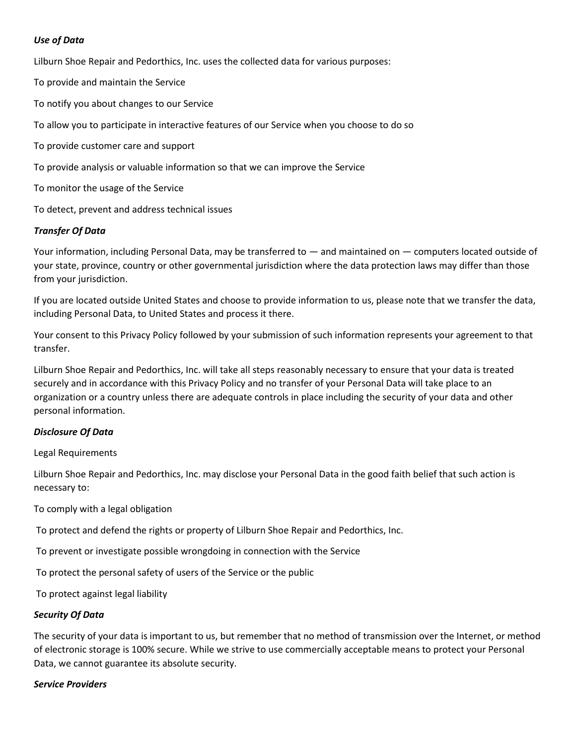## *Use of Data*

Lilburn Shoe Repair and Pedorthics, Inc. uses the collected data for various purposes:

To provide and maintain the Service

To notify you about changes to our Service

To allow you to participate in interactive features of our Service when you choose to do so

To provide customer care and support

To provide analysis or valuable information so that we can improve the Service

To monitor the usage of the Service

To detect, prevent and address technical issues

### *Transfer Of Data*

Your information, including Personal Data, may be transferred to — and maintained on — computers located outside of your state, province, country or other governmental jurisdiction where the data protection laws may differ than those from your jurisdiction.

If you are located outside United States and choose to provide information to us, please note that we transfer the data, including Personal Data, to United States and process it there.

Your consent to this Privacy Policy followed by your submission of such information represents your agreement to that transfer.

Lilburn Shoe Repair and Pedorthics, Inc. will take all steps reasonably necessary to ensure that your data is treated securely and in accordance with this Privacy Policy and no transfer of your Personal Data will take place to an organization or a country unless there are adequate controls in place including the security of your data and other personal information.

### *Disclosure Of Data*

Legal Requirements

Lilburn Shoe Repair and Pedorthics, Inc. may disclose your Personal Data in the good faith belief that such action is necessary to:

To comply with a legal obligation

To protect and defend the rights or property of Lilburn Shoe Repair and Pedorthics, Inc.

To prevent or investigate possible wrongdoing in connection with the Service

To protect the personal safety of users of the Service or the public

To protect against legal liability

### *Security Of Data*

The security of your data is important to us, but remember that no method of transmission over the Internet, or method of electronic storage is 100% secure. While we strive to use commercially acceptable means to protect your Personal Data, we cannot guarantee its absolute security.

#### *Service Providers*